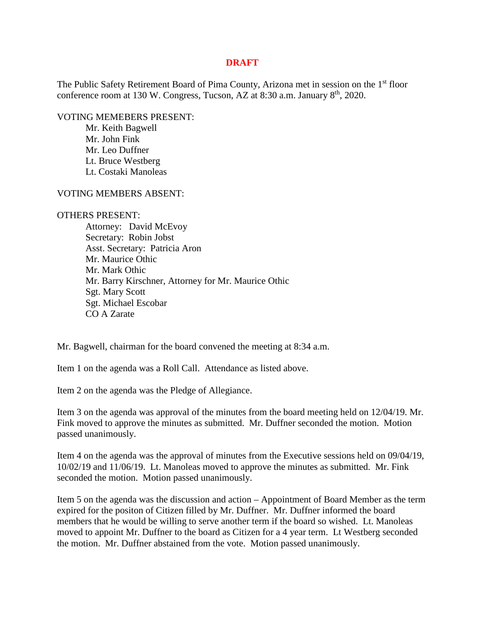## **DRAFT**

The Public Safety Retirement Board of Pima County, Arizona met in session on the 1<sup>st</sup> floor conference room at 130 W. Congress, Tucson, AZ at 8:30 a.m. January  $8<sup>th</sup>$ , 2020.

VOTING MEMEBERS PRESENT:

Mr. Keith Bagwell Mr. John Fink Mr. Leo Duffner Lt. Bruce Westberg Lt. Costaki Manoleas

VOTING MEMBERS ABSENT:

## OTHERS PRESENT:

Attorney: David McEvoy Secretary: Robin Jobst Asst. Secretary: Patricia Aron Mr. Maurice Othic Mr. Mark Othic Mr. Barry Kirschner, Attorney for Mr. Maurice Othic Sgt. Mary Scott Sgt. Michael Escobar CO A Zarate

Mr. Bagwell, chairman for the board convened the meeting at 8:34 a.m.

Item 1 on the agenda was a Roll Call. Attendance as listed above.

Item 2 on the agenda was the Pledge of Allegiance.

Item 3 on the agenda was approval of the minutes from the board meeting held on 12/04/19. Mr. Fink moved to approve the minutes as submitted. Mr. Duffner seconded the motion. Motion passed unanimously.

Item 4 on the agenda was the approval of minutes from the Executive sessions held on 09/04/19, 10/02/19 and 11/06/19. Lt. Manoleas moved to approve the minutes as submitted. Mr. Fink seconded the motion. Motion passed unanimously.

Item 5 on the agenda was the discussion and action – Appointment of Board Member as the term expired for the positon of Citizen filled by Mr. Duffner. Mr. Duffner informed the board members that he would be willing to serve another term if the board so wished. Lt. Manoleas moved to appoint Mr. Duffner to the board as Citizen for a 4 year term. Lt Westberg seconded the motion. Mr. Duffner abstained from the vote. Motion passed unanimously.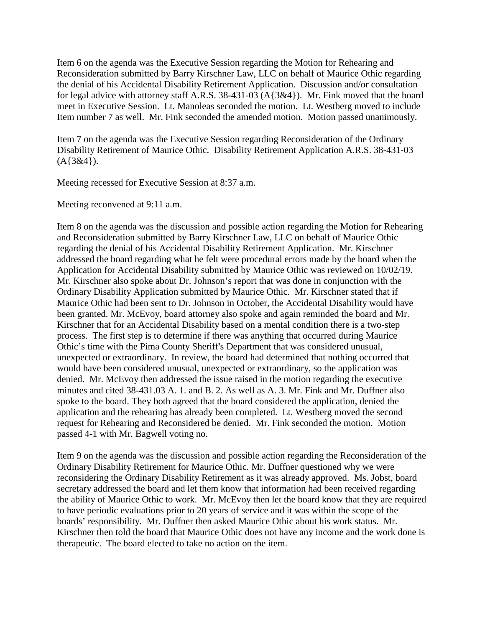Item 6 on the agenda was the Executive Session regarding the Motion for Rehearing and Reconsideration submitted by Barry Kirschner Law, LLC on behalf of Maurice Othic regarding the denial of his Accidental Disability Retirement Application. Discussion and/or consultation for legal advice with attorney staff A.R.S. 38-431-03 (A{3&4}). Mr. Fink moved that the board meet in Executive Session. Lt. Manoleas seconded the motion. Lt. Westberg moved to include Item number 7 as well. Mr. Fink seconded the amended motion. Motion passed unanimously.

Item 7 on the agenda was the Executive Session regarding Reconsideration of the Ordinary Disability Retirement of Maurice Othic. Disability Retirement Application A.R.S. 38-431-03  $(A{3&4}).$ 

Meeting recessed for Executive Session at 8:37 a.m.

Meeting reconvened at 9:11 a.m.

Item 8 on the agenda was the discussion and possible action regarding the Motion for Rehearing and Reconsideration submitted by Barry Kirschner Law, LLC on behalf of Maurice Othic regarding the denial of his Accidental Disability Retirement Application. Mr. Kirschner addressed the board regarding what he felt were procedural errors made by the board when the Application for Accidental Disability submitted by Maurice Othic was reviewed on 10/02/19. Mr. Kirschner also spoke about Dr. Johnson's report that was done in conjunction with the Ordinary Disability Application submitted by Maurice Othic. Mr. Kirschner stated that if Maurice Othic had been sent to Dr. Johnson in October, the Accidental Disability would have been granted. Mr. McEvoy, board attorney also spoke and again reminded the board and Mr. Kirschner that for an Accidental Disability based on a mental condition there is a two-step process. The first step is to determine if there was anything that occurred during Maurice Othic's time with the Pima County Sheriff's Department that was considered unusual, unexpected or extraordinary. In review, the board had determined that nothing occurred that would have been considered unusual, unexpected or extraordinary, so the application was denied. Mr. McEvoy then addressed the issue raised in the motion regarding the executive minutes and cited 38-431.03 A. 1. and B. 2. As well as A. 3. Mr. Fink and Mr. Duffner also spoke to the board. They both agreed that the board considered the application, denied the application and the rehearing has already been completed. Lt. Westberg moved the second request for Rehearing and Reconsidered be denied. Mr. Fink seconded the motion. Motion passed 4-1 with Mr. Bagwell voting no.

Item 9 on the agenda was the discussion and possible action regarding the Reconsideration of the Ordinary Disability Retirement for Maurice Othic. Mr. Duffner questioned why we were reconsidering the Ordinary Disability Retirement as it was already approved. Ms. Jobst, board secretary addressed the board and let them know that information had been received regarding the ability of Maurice Othic to work. Mr. McEvoy then let the board know that they are required to have periodic evaluations prior to 20 years of service and it was within the scope of the boards' responsibility. Mr. Duffner then asked Maurice Othic about his work status. Mr. Kirschner then told the board that Maurice Othic does not have any income and the work done is therapeutic. The board elected to take no action on the item.